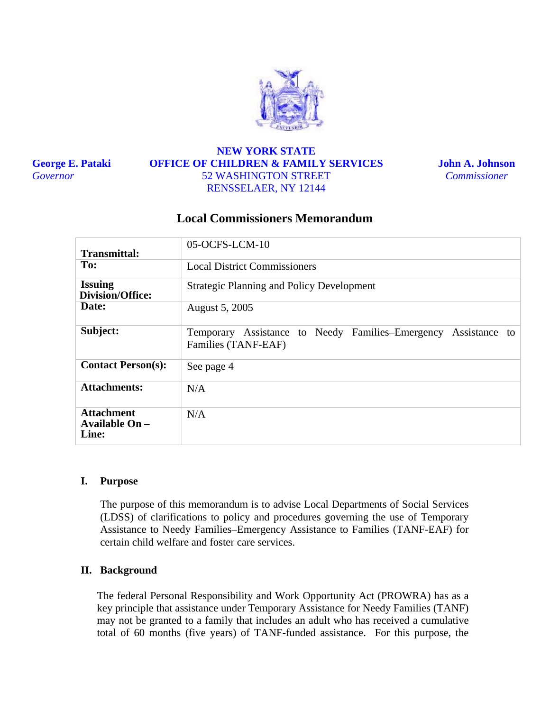

**George E. Pataki**  *Governor* 

# **NEW YORK STATE OFFICE OF CHILDREN & FAMILY SERVICES** 52 WASHINGTON STREET RENSSELAER, NY 12144

**John A. Johnson**  *Commissioner* 

# **Local Commissioners Memorandum**

| Transmittal:                          | 05-OCFS-LCM-10                                                                           |
|---------------------------------------|------------------------------------------------------------------------------------------|
| To:                                   | <b>Local District Commissioners</b>                                                      |
| <b>Issuing</b><br>Division/Office:    | <b>Strategic Planning and Policy Development</b>                                         |
| Date:                                 | August 5, 2005                                                                           |
| Subject:                              | Temporary Assistance to Needy Families–Emergency<br>Assistance to<br>Families (TANF-EAF) |
| <b>Contact Person(s):</b>             | See page 4                                                                               |
| <b>Attachments:</b>                   | N/A                                                                                      |
| Attachment<br>Available On -<br>Line: | N/A                                                                                      |

#### **I. Purpose**

The purpose of this memorandum is to advise Local Departments of Social Services (LDSS) of clarifications to policy and procedures governing the use of Temporary Assistance to Needy Families–Emergency Assistance to Families (TANF-EAF) for certain child welfare and foster care services.

### **II. Background**

The federal Personal Responsibility and Work Opportunity Act (PROWRA) has as a key principle that assistance under Temporary Assistance for Needy Families (TANF) may not be granted to a family that includes an adult who has received a cumulative total of 60 months (five years) of TANF-funded assistance. For this purpose, the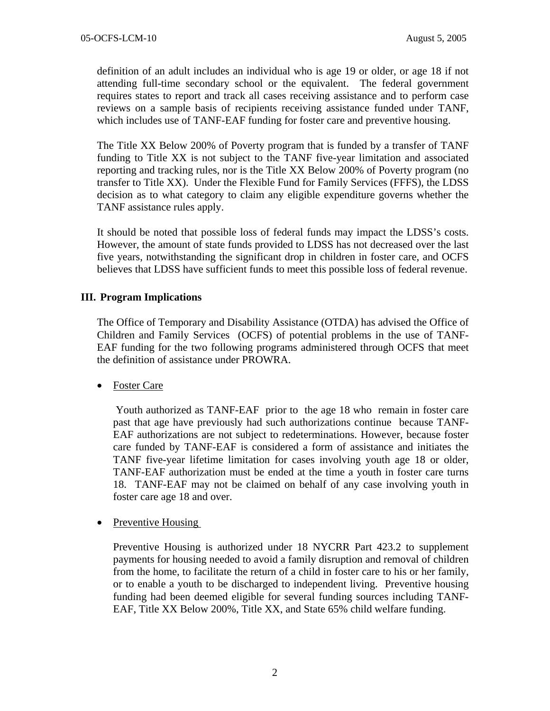definition of an adult includes an individual who is age 19 or older, or age 18 if not attending full-time secondary school or the equivalent. The federal government requires states to report and track all cases receiving assistance and to perform case reviews on a sample basis of recipients receiving assistance funded under TANF, which includes use of TANF-EAF funding for foster care and preventive housing.

The Title XX Below 200% of Poverty program that is funded by a transfer of TANF funding to Title XX is not subject to the TANF five-year limitation and associated reporting and tracking rules, nor is the Title XX Below 200% of Poverty program (no transfer to Title XX). Under the Flexible Fund for Family Services (FFFS), the LDSS decision as to what category to claim any eligible expenditure governs whether the TANF assistance rules apply.

It should be noted that possible loss of federal funds may impact the LDSS's costs. However, the amount of state funds provided to LDSS has not decreased over the last five years, notwithstanding the significant drop in children in foster care, and OCFS believes that LDSS have sufficient funds to meet this possible loss of federal revenue.

## **III. Program Implications**

The Office of Temporary and Disability Assistance (OTDA) has advised the Office of Children and Family Services (OCFS) of potential problems in the use of TANF-EAF funding for the two following programs administered through OCFS that meet the definition of assistance under PROWRA.

• Foster Care

Youth authorized as TANF-EAF prior to the age 18 who remain in foster care past that age have previously had such authorizations continue because TANF-EAF authorizations are not subject to redeterminations. However, because foster care funded by TANF-EAF is considered a form of assistance and initiates the TANF five-year lifetime limitation for cases involving youth age 18 or older, TANF-EAF authorization must be ended at the time a youth in foster care turns 18. TANF-EAF may not be claimed on behalf of any case involving youth in foster care age 18 and over.

• Preventive Housing

Preventive Housing is authorized under 18 NYCRR Part 423.2 to supplement payments for housing needed to avoid a family disruption and removal of children from the home, to facilitate the return of a child in foster care to his or her family, or to enable a youth to be discharged to independent living. Preventive housing funding had been deemed eligible for several funding sources including TANF-EAF, Title XX Below 200%, Title XX, and State 65% child welfare funding.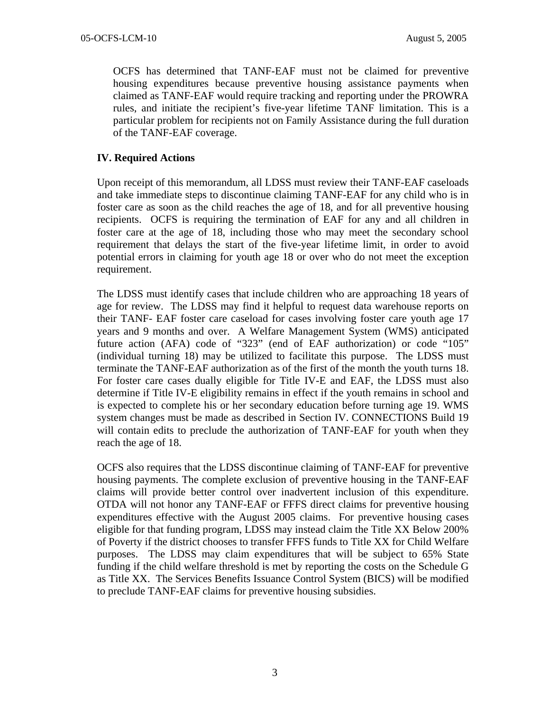OCFS has determined that TANF-EAF must not be claimed for preventive housing expenditures because preventive housing assistance payments when claimed as TANF-EAF would require tracking and reporting under the PROWRA rules, and initiate the recipient's five-year lifetime TANF limitation. This is a particular problem for recipients not on Family Assistance during the full duration of the TANF-EAF coverage.

## **IV. Required Actions**

Upon receipt of this memorandum, all LDSS must review their TANF-EAF caseloads and take immediate steps to discontinue claiming TANF-EAF for any child who is in foster care as soon as the child reaches the age of 18, and for all preventive housing recipients. OCFS is requiring the termination of EAF for any and all children in foster care at the age of 18, including those who may meet the secondary school requirement that delays the start of the five-year lifetime limit, in order to avoid potential errors in claiming for youth age 18 or over who do not meet the exception requirement.

The LDSS must identify cases that include children who are approaching 18 years of age for review. The LDSS may find it helpful to request data warehouse reports on their TANF- EAF foster care caseload for cases involving foster care youth age 17 years and 9 months and over. A Welfare Management System (WMS) anticipated future action (AFA) code of "323" (end of EAF authorization) or code "105" (individual turning 18) may be utilized to facilitate this purpose. The LDSS must terminate the TANF-EAF authorization as of the first of the month the youth turns 18. For foster care cases dually eligible for Title IV-E and EAF, the LDSS must also determine if Title IV-E eligibility remains in effect if the youth remains in school and is expected to complete his or her secondary education before turning age 19. WMS system changes must be made as described in Section IV. CONNECTIONS Build 19 will contain edits to preclude the authorization of TANF-EAF for youth when they reach the age of 18.

OCFS also requires that the LDSS discontinue claiming of TANF-EAF for preventive housing payments. The complete exclusion of preventive housing in the TANF-EAF claims will provide better control over inadvertent inclusion of this expenditure. OTDA will not honor any TANF-EAF or FFFS direct claims for preventive housing expenditures effective with the August 2005 claims. For preventive housing cases eligible for that funding program, LDSS may instead claim the Title XX Below 200% of Poverty if the district chooses to transfer FFFS funds to Title XX for Child Welfare purposes. The LDSS may claim expenditures that will be subject to 65% State funding if the child welfare threshold is met by reporting the costs on the Schedule G as Title XX. The Services Benefits Issuance Control System (BICS) will be modified to preclude TANF-EAF claims for preventive housing subsidies.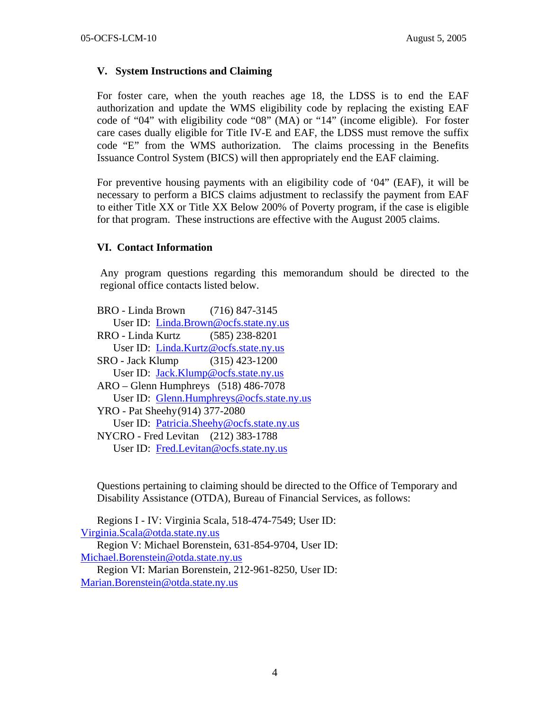### **V. System Instructions and Claiming**

For foster care, when the youth reaches age 18, the LDSS is to end the EAF authorization and update the WMS eligibility code by replacing the existing EAF code of "04" with eligibility code "08" (MA) or "14" (income eligible). For foster care cases dually eligible for Title IV-E and EAF, the LDSS must remove the suffix code "E" from the WMS authorization. The claims processing in the Benefits Issuance Control System (BICS) will then appropriately end the EAF claiming.

For preventive housing payments with an eligibility code of '04" (EAF), it will be necessary to perform a BICS claims adjustment to reclassify the payment from EAF to either Title XX or Title XX Below 200% of Poverty program, if the case is eligible for that program. These instructions are effective with the August 2005 claims.

#### **VI. Contact Information**

Any program questions regarding this memorandum should be directed to the regional office contacts listed below.

BRO - Linda Brown (716) 847-3145 User ID: [Linda.Brown@ocfs.state.ny.us](mailto:Linda.Brown@ocfs.state.ny.us) RRO - Linda Kurtz (585) 238-8201 User ID: [Linda.Kurtz@ocfs.state.ny.us](mailto:Linda.Kurtz@ocfs.state.ny.us) SRO - Jack Klump (315) 423-1200 User ID: [Jack.Klump@ocfs.state.ny.us](mailto:Jack.Klump@ocfs.state.ny.us) ARO – Glenn Humphreys (518) 486-7078 User ID: [Glenn.Humphreys@ocfs.state.ny.us](mailto:Glenn.Humphreys@ocfs.state.ny.us) YRO - Pat Sheehy (914) 377-2080 User ID: [Patricia.Sheehy@ocfs.state.ny.us](mailto:Patricia.Sheehy@ocfs.state.ny.us) NYCRO - Fred Levitan (212) 383-1788 User ID: [Fred.Levitan@ocfs.state.ny.us](mailto:Fred.Levitan@ocfs.state.ny.us)

Questions pertaining to claiming should be directed to the Office of Temporary and Disability Assistance (OTDA), Bureau of Financial Services, as follows:

Regions I - IV: Virginia Scala, 518-474-7549; User ID: [Virginia.Scala@otda.state.ny.us](mailto:Virginia.Scala@otda.state.ny.us) Region V: Michael Borenstein, 631-854-9704, User ID: [Michael.Borenstein@otda.state.ny.us](mailto:Michael.Borenstein@otda.state.ny.us) Region VI: Marian Borenstein, 212-961-8250, User ID: [Marian.Borenstein@otda.state.ny.us](mailto:Marian.Borenstein@otda.state.ny.us)